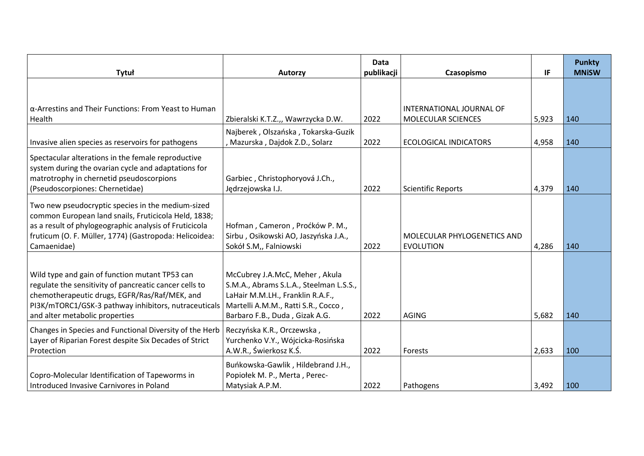| Tytuł                                                                                                                                                                                                                                               | <b>Autorzy</b>                                                                                                                                                                         | <b>Data</b><br>publikacji | Czasopismo                                      | IF    | <b>Punkty</b><br><b>MNISW</b> |
|-----------------------------------------------------------------------------------------------------------------------------------------------------------------------------------------------------------------------------------------------------|----------------------------------------------------------------------------------------------------------------------------------------------------------------------------------------|---------------------------|-------------------------------------------------|-------|-------------------------------|
|                                                                                                                                                                                                                                                     |                                                                                                                                                                                        |                           |                                                 |       |                               |
| $\alpha$ -Arrestins and Their Functions: From Yeast to Human<br>Health                                                                                                                                                                              | Zbieralski K.T.Z.,, Wawrzycka D.W.                                                                                                                                                     | 2022                      | INTERNATIONAL JOURNAL OF<br>MOLECULAR SCIENCES  | 5,923 | 140                           |
| Invasive alien species as reservoirs for pathogens                                                                                                                                                                                                  | Najberek, Olszańska, Tokarska-Guzik<br>, Mazurska, Dajdok Z.D., Solarz                                                                                                                 | 2022                      | <b>ECOLOGICAL INDICATORS</b>                    | 4,958 | 140                           |
| Spectacular alterations in the female reproductive<br>system during the ovarian cycle and adaptations for<br>matrotrophy in chernetid pseudoscorpions<br>(Pseudoscorpiones: Chernetidae)                                                            | Garbiec, Christophoryová J.Ch.,<br>Jędrzejowska I.J.                                                                                                                                   | 2022                      | <b>Scientific Reports</b>                       | 4,379 | 140                           |
| Two new pseudocryptic species in the medium-sized<br>common European land snails, Fruticicola Held, 1838;<br>as a result of phylogeographic analysis of Fruticicola<br>fruticum (O. F. Müller, 1774) (Gastropoda: Helicoidea:<br>Camaenidae)        | Hofman, Cameron, Proćków P. M.,<br>Sirbu, Osikowski AO, Jaszyńska J.A.,<br>Sokół S.M,, Falniowski                                                                                      | 2022                      | MOLECULAR PHYLOGENETICS AND<br><b>EVOLUTION</b> | 4,286 | 140                           |
| Wild type and gain of function mutant TP53 can<br>regulate the sensitivity of pancreatic cancer cells to<br>chemotherapeutic drugs, EGFR/Ras/Raf/MEK, and<br>PI3K/mTORC1/GSK-3 pathway inhibitors, nutraceuticals<br>and alter metabolic properties | McCubrey J.A.McC, Meher, Akula<br>S.M.A., Abrams S.L.A., Steelman L.S.S.,<br>LaHair M.M.LH., Franklin R.A.F.,<br>Martelli A.M.M., Ratti S.R., Cocco,<br>Barbaro F.B., Duda, Gizak A.G. | 2022                      | <b>AGING</b>                                    | 5,682 | 140                           |
| Changes in Species and Functional Diversity of the Herb<br>Layer of Riparian Forest despite Six Decades of Strict<br>Protection                                                                                                                     | Reczyńska K.R., Orczewska,<br>Yurchenko V.Y., Wójcicka-Rosińska<br>A.W.R., Świerkosz K.Ś.                                                                                              | 2022                      | Forests                                         | 2,633 | 100                           |
| Copro-Molecular Identification of Tapeworms in<br>Introduced Invasive Carnivores in Poland                                                                                                                                                          | Buńkowska-Gawlik, Hildebrand J.H.,<br>Popiołek M. P., Merta, Perec-<br>Matysiak A.P.M.                                                                                                 | 2022                      | Pathogens                                       | 3,492 | 100                           |